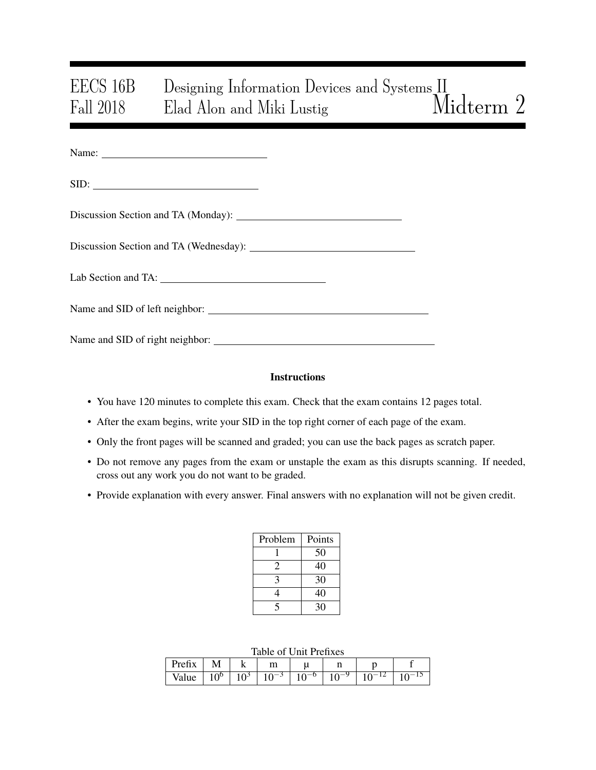# EECS 16B Designing Information Devices and Systems II<br>Fall 2018 Elad Alon and Miki Lustig Midterm 2 Fall 2018 Elad Alon and Miki Lustig

| Name: |  |  |
|-------|--|--|
|       |  |  |

SID:

| Discussion Section and TA (Wednesday): |  |  |
|----------------------------------------|--|--|
|----------------------------------------|--|--|

Lab Section and TA:

Name and SID of left neighbor:

Name and SID of right neighbor:

### **Instructions**

- You have 120 minutes to complete this exam. Check that the exam contains 12 pages total.
- After the exam begins, write your SID in the top right corner of each page of the exam.
- Only the front pages will be scanned and graded; you can use the back pages as scratch paper.
- Do not remove any pages from the exam or unstaple the exam as this disrupts scanning. If needed, cross out any work you do not want to be graded.
- Provide explanation with every answer. Final answers with no explanation will not be given credit.

| Problem | Points |
|---------|--------|
|         | 50     |
| 2       | 40     |
| 3       | 30     |
| 4       | 40     |
| ۲       | 30     |

#### Table of Unit Prefixes

| $Pr_{P1}$<br>+ v<br>11 A | - - -         | 17      | m             | м      |     |                          |    |
|--------------------------|---------------|---------|---------------|--------|-----|--------------------------|----|
| value                    | nt<br>л.<br>ັ | ນ<br>ΙV | <b>.</b><br>ີ | υ<br>◡ | ⊥ ∪ | $\overline{\phantom{0}}$ | 1J |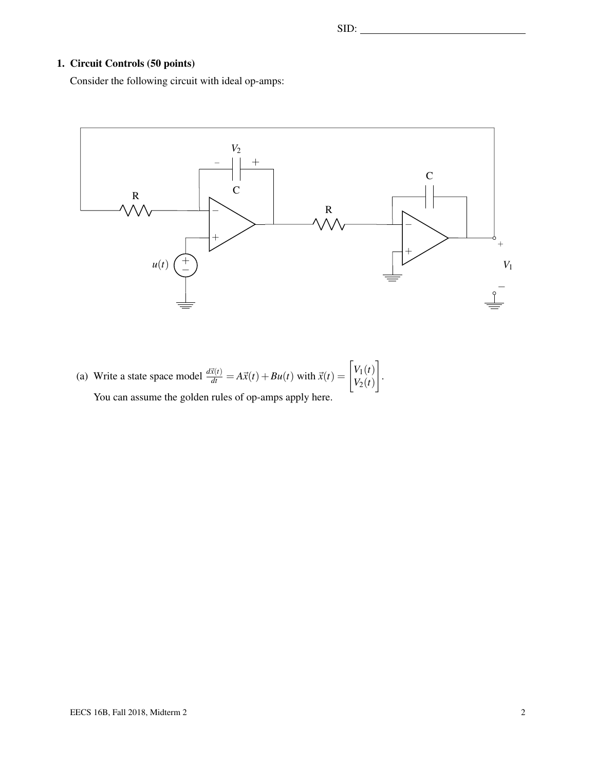### 1. Circuit Controls (50 points)

Consider the following circuit with ideal op-amps:



(a) Write a state space model  $\frac{d\vec{x}(t)}{dt} = A\vec{x}(t) + Bu(t)$  with  $\vec{x}(t) = \begin{bmatrix} V_1(t) \\ V_2(t) \end{bmatrix}$  $V_2(t)$ 1 . You can assume the golden rules of op-amps apply here.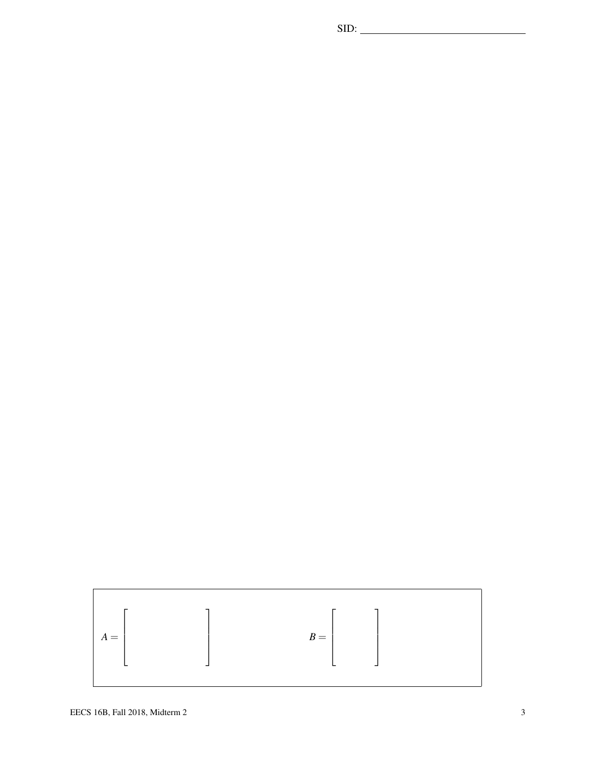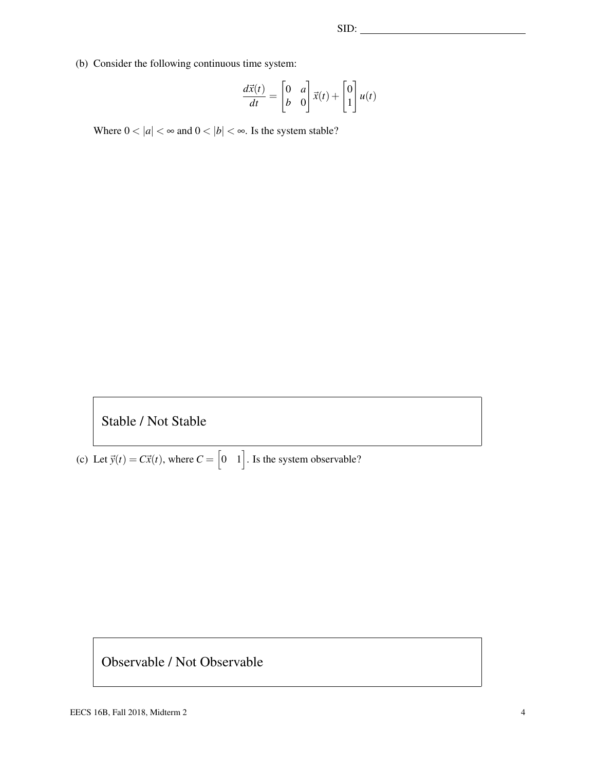(b) Consider the following continuous time system:

$$
\frac{d\vec{x}(t)}{dt} = \begin{bmatrix} 0 & a \\ b & 0 \end{bmatrix} \vec{x}(t) + \begin{bmatrix} 0 \\ 1 \end{bmatrix} u(t)
$$

Where  $0 < |a| < \infty$  and  $0 < |b| < \infty$ . Is the system stable?

## Stable / Not Stable

(c) Let  $\vec{y}(t) = C\vec{x}(t)$ , where  $C = \begin{bmatrix} 0 & 1 \end{bmatrix}$ . Is the system observable?

### Observable / Not Observable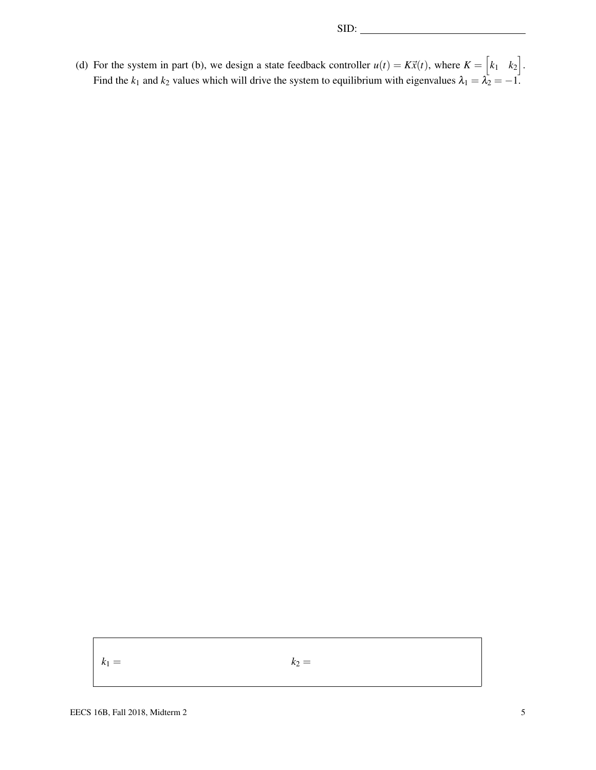(d) For the system in part (b), we design a state feedback controller  $u(t) = K\vec{x}(t)$ , where  $K = \begin{bmatrix} k_1 & k_2 \end{bmatrix}$ . Find the  $k_1$  and  $k_2$  values which will drive the system to equilibrium with eigenvalues  $\lambda_1 = \lambda_2 = -1$ .

 $k_1 = k_2 = k_3$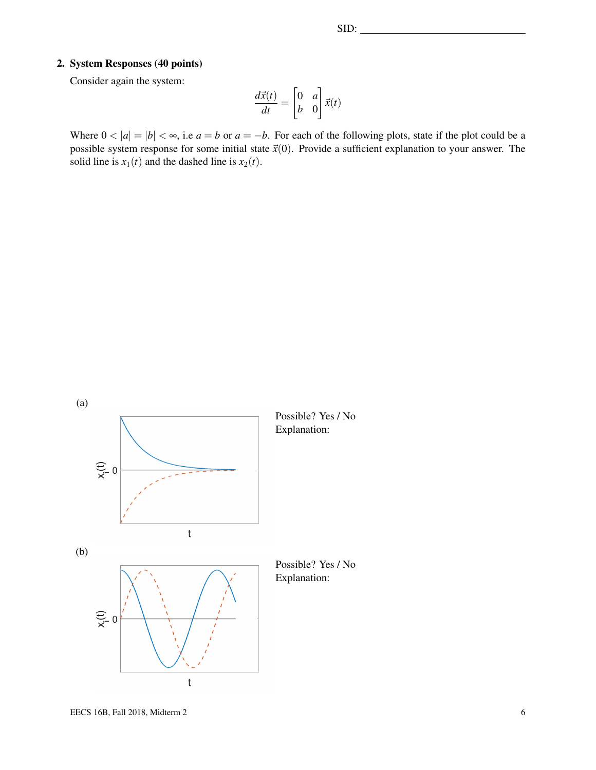### 2. System Responses (40 points)

Consider again the system:

$$
\frac{d\vec{x}(t)}{dt} = \begin{bmatrix} 0 & a \\ b & 0 \end{bmatrix} \vec{x}(t)
$$

Where  $0 < |a| = |b| < \infty$ , i.e  $a = b$  or  $a = -b$ . For each of the following plots, state if the plot could be a possible system response for some initial state  $\vec{x}(0)$ . Provide a sufficient explanation to your answer. The solid line is  $x_1(t)$  and the dashed line is  $x_2(t)$ .

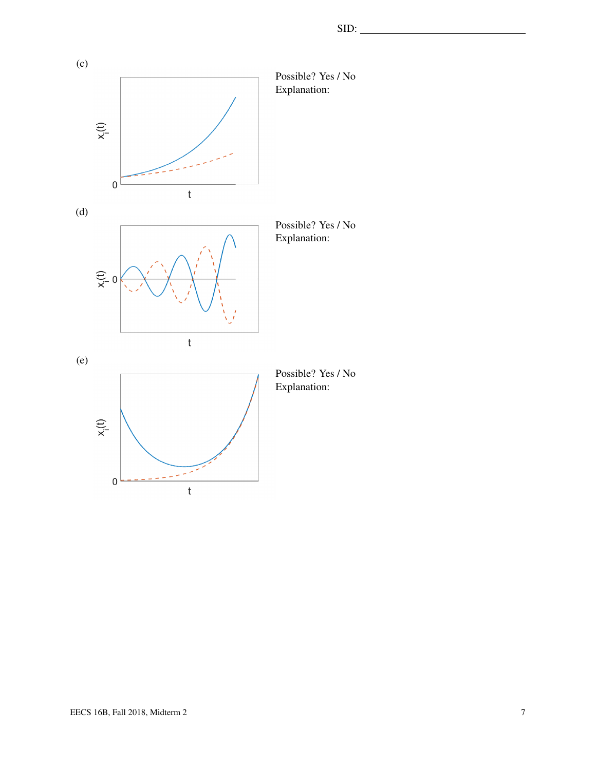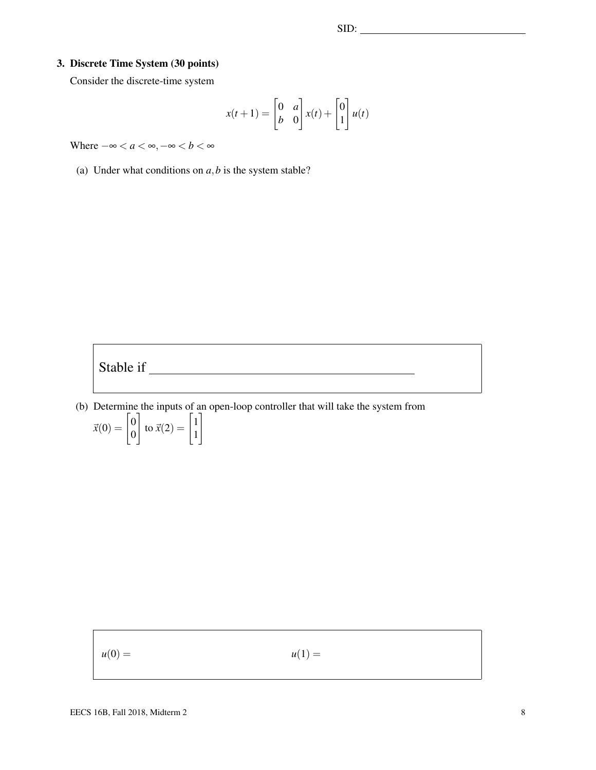### 3. Discrete Time System (30 points)

Consider the discrete-time system

$$
x(t+1) = \begin{bmatrix} 0 & a \\ b & 0 \end{bmatrix} x(t) + \begin{bmatrix} 0 \\ 1 \end{bmatrix} u(t)
$$

Where  $-\infty < a < \infty, -\infty < b < \infty$ 

(a) Under what conditions on  $a$ ,  $b$  is the system stable?



(b) Determine the inputs of an open-loop controller that will take the system from

$$
\vec{x}(0) = \begin{bmatrix} 0 \\ 0 \end{bmatrix} \text{ to } \vec{x}(2) = \begin{bmatrix} 1 \\ 1 \end{bmatrix}
$$

 $u(0) =$   $u(1) =$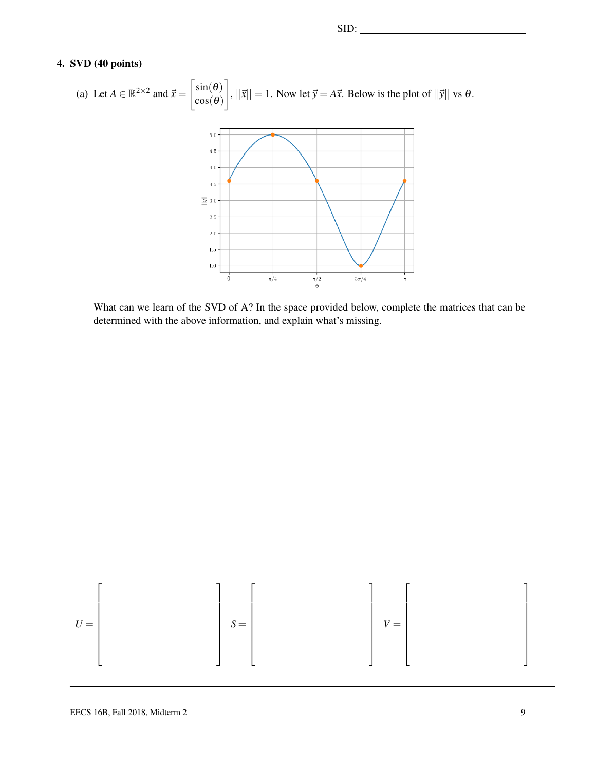### 4. SVD (40 points)

(a) Let 
$$
A \in \mathbb{R}^{2 \times 2}
$$
 and  $\vec{x} = \begin{bmatrix} \sin(\theta) \\ \cos(\theta) \end{bmatrix}$ ,  $||\vec{x}|| = 1$ . Now let  $\vec{y} = A\vec{x}$ . Below is the plot of  $||\vec{y}||$  vs  $\theta$ .

What can we learn of the SVD of A? In the space provided below, complete the matrices that can be determined with the above information, and explain what's missing.

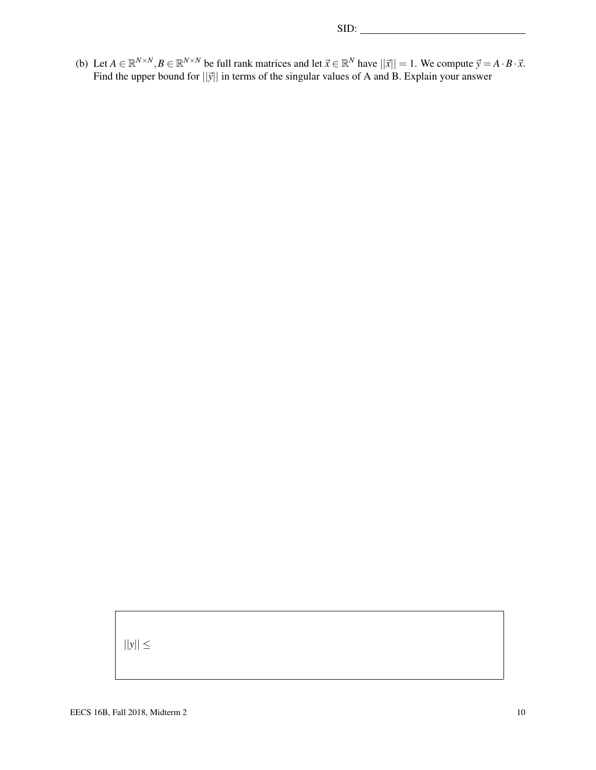(b) Let  $A \in \mathbb{R}^{N \times N}, B \in \mathbb{R}^{N \times N}$  be full rank matrices and let  $\vec{x} \in \mathbb{R}^N$  have  $||\vec{x}|| = 1$ . We compute  $\vec{y} = A \cdot B \cdot \vec{x}$ . Find the upper bound for  $||\vec{y}||$  in terms of the singular values of A and B. Explain your answer

 $||y|| \leq$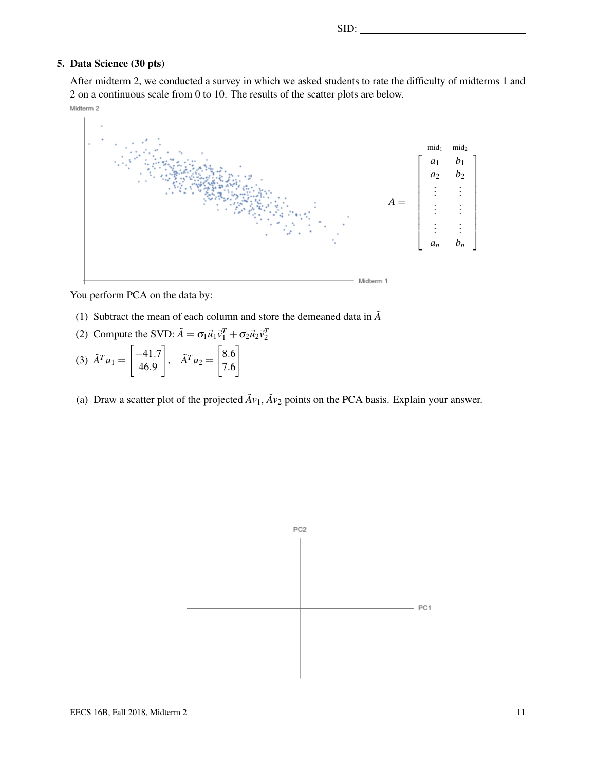SID:

### 5. Data Science (30 pts)

After midterm 2, we conducted a survey in which we asked students to rate the difficulty of midterms 1 and 2 on a continuous scale from 0 to 10. The results of the scatter plots are below.

Midterm 2



You perform PCA on the data by:

- (1) Subtract the mean of each column and store the demeaned data in  $\tilde{A}$
- (2) Compute the SVD:  $\tilde{A} = \sigma_1 \vec{u}_1 \vec{v}_1^T + \sigma_2 \vec{u}_2 \vec{v}_2^T$
- (3)  $\tilde{A}^{T} u_1 =$  $\left[-41.7\right]$ 46.9 1  $A^T u_2 =$  $\left[ 8.6 \right]$ 7.6 1
- (a) Draw a scatter plot of the projected  $\tilde{A}v_1$ ,  $\tilde{A}v_2$  points on the PCA basis. Explain your answer.